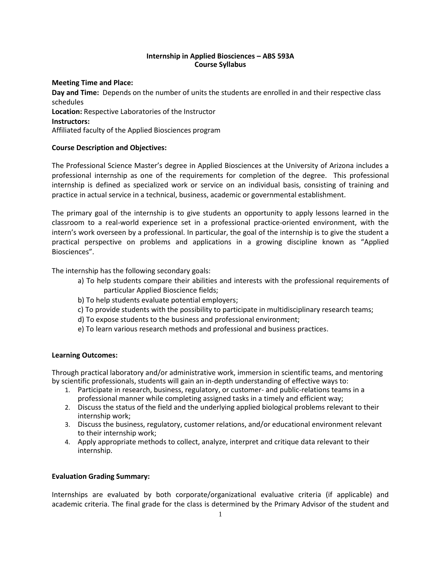# **Internship in Applied Biosciences – ABS 593A Course Syllabus**

# **Meeting Time and Place:**

**Day and Time:** Depends on the number of units the students are enrolled in and their respective class schedules **Location:** Respective Laboratories of the Instructor **Instructors:** Affiliated faculty of the Applied Biosciences program

# **Course Description and Objectives:**

The Professional Science Master's degree in Applied Biosciences at the University of Arizona includes a professional internship as one of the requirements for completion of the degree. This professional internship is defined as specialized work or service on an individual basis, consisting of training and practice in actual service in a technical, business, academic or governmental establishment.

The primary goal of the internship is to give students an opportunity to apply lessons learned in the classroom to a real-world experience set in a professional practice-oriented environment, with the intern's work overseen by a professional. In particular, the goal of the internship is to give the student a practical perspective on problems and applications in a growing discipline known as "Applied Biosciences".

The internship has the following secondary goals:

- a) To help students compare their abilities and interests with the professional requirements of particular Applied Bioscience fields;
- b) To help students evaluate potential employers;
- c) To provide students with the possibility to participate in multidisciplinary research teams;
- d) To expose students to the business and professional environment;
- e) To learn various research methods and professional and business practices.

# **Learning Outcomes:**

Through practical laboratory and/or administrative work, immersion in scientific teams, and mentoring by scientific professionals, students will gain an in-depth understanding of effective ways to:

- 1. Participate in research, business, regulatory, or customer- and public-relations teams in a professional manner while completing assigned tasks in a timely and efficient way;
- 2. Discuss the status of the field and the underlying applied biological problems relevant to their internship work;
- 3. Discuss the business, regulatory, customer relations, and/or educational environment relevant to their internship work;
- 4. Apply appropriate methods to collect, analyze, interpret and critique data relevant to their internship.

# **Evaluation Grading Summary:**

Internships are evaluated by both corporate/organizational evaluative criteria (if applicable) and academic criteria. The final grade for the class is determined by the Primary Advisor of the student and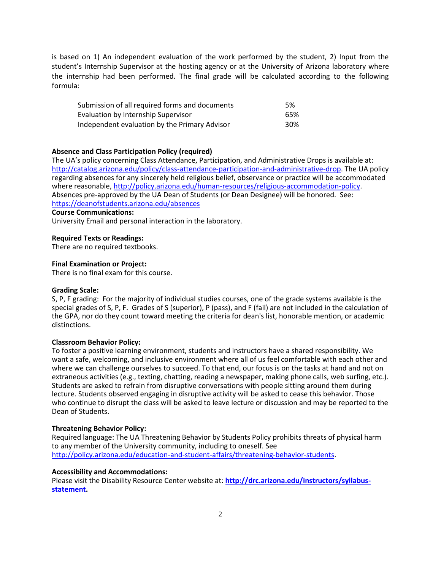is based on 1) An independent evaluation of the work performed by the student, 2) Input from the student's Internship Supervisor at the hosting agency or at the University of Arizona laboratory where the internship had been performed. The final grade will be calculated according to the following formula:

| Submission of all required forms and documents | .5% |
|------------------------------------------------|-----|
| Evaluation by Internship Supervisor            | 65% |
| Independent evaluation by the Primary Advisor  | 30% |

## **Absence and Class Participation Policy (required)**

The UA's policy concerning Class Attendance, Participation, and Administrative Drops is available at: [http://catalog.arizona.edu/policy/class-attendance-participation-and-administrative-drop.](http://catalog.arizona.edu/policy/class-attendance-participation-and-administrative-drop) The UA policy regarding absences for any sincerely held religious belief, observance or practice will be accommodated where reasonable[, http://policy.arizona.edu/human-resources/religious-accommodation-policy.](http://policy.arizona.edu/human-resources/religious-accommodation-policy) Absences pre-approved by the UA Dean of Students (or Dean Designee) will be honored. See: <https://deanofstudents.arizona.edu/absences>

## **Course Communications:**

University Email and personal interaction in the laboratory.

### **Required Texts or Readings:**

There are no required textbooks.

#### **Final Examination or Project:**

There is no final exam for this course.

#### **Grading Scale:**

S, P, F grading: For the majority of individual studies courses, one of the grade systems available is the special grades of S, P, F. Grades of S (superior), P (pass), and F (fail) are not included in the calculation of the GPA, nor do they count toward meeting the criteria for dean's list, honorable mention, or academic distinctions.

#### **Classroom Behavior Policy:**

To foster a positive learning environment, students and instructors have a shared responsibility. We want a safe, welcoming, and inclusive environment where all of us feel comfortable with each other and where we can challenge ourselves to succeed. To that end, our focus is on the tasks at hand and not on extraneous activities (e.g., texting, chatting, reading a newspaper, making phone calls, web surfing, etc.). Students are asked to refrain from disruptive conversations with people sitting around them during lecture. Students observed engaging in disruptive activity will be asked to cease this behavior. Those who continue to disrupt the class will be asked to leave lecture or discussion and may be reported to the Dean of Students.

#### **Threatening Behavior Policy:**

Required language: The UA Threatening Behavior by Students Policy prohibits threats of physical harm to any member of the University community, including to oneself. See [http://policy.arizona.edu/education-and-student-affairs/threatening-behavior-students.](http://policy.arizona.edu/education-and-student-affairs/threatening-behavior-students)

## **Accessibility and Accommodations:**

Please visit the Disability Resource Center website at: **[http://drc.arizona.edu/instructors/syllabus](http://drc.arizona.edu/instructors/syllabus-statement)[statement.](http://drc.arizona.edu/instructors/syllabus-statement)**